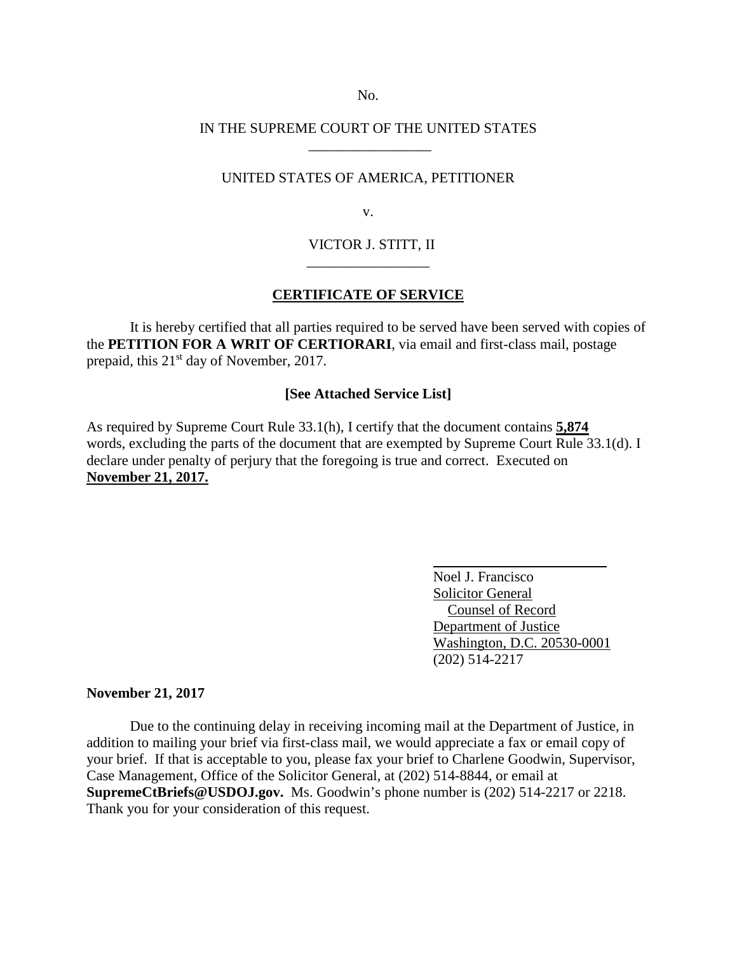No.

# IN THE SUPREME COURT OF THE UNITED STATES \_\_\_\_\_\_\_\_\_\_\_\_\_\_\_\_\_

### UNITED STATES OF AMERICA, PETITIONER

v.

# VICTOR J. STITT, II \_\_\_\_\_\_\_\_\_\_\_\_\_\_\_\_\_

### **CERTIFICATE OF SERVICE**

It is hereby certified that all parties required to be served have been served with copies of the **PETITION FOR A WRIT OF CERTIORARI**, via email and first-class mail, postage prepaid, this 21<sup>st</sup> day of November, 2017.

## **[See Attached Service List]**

As required by Supreme Court Rule 33.1(h), I certify that the document contains **5,874** words, excluding the parts of the document that are exempted by Supreme Court Rule 33.1(d). I declare under penalty of perjury that the foregoing is true and correct. Executed on **November 21, 2017.**

 $\overline{a}$ 

 Noel J. Francisco Solicitor General Counsel of Record Department of Justice Washington, D.C. 20530-0001 (202) 514-2217

## **November 21, 2017**

Due to the continuing delay in receiving incoming mail at the Department of Justice, in addition to mailing your brief via first-class mail, we would appreciate a fax or email copy of your brief. If that is acceptable to you, please fax your brief to Charlene Goodwin, Supervisor, Case Management, Office of the Solicitor General, at (202) 514-8844, or email at **SupremeCtBriefs@USDOJ.gov.** Ms. Goodwin's phone number is (202) 514-2217 or 2218. Thank you for your consideration of this request.